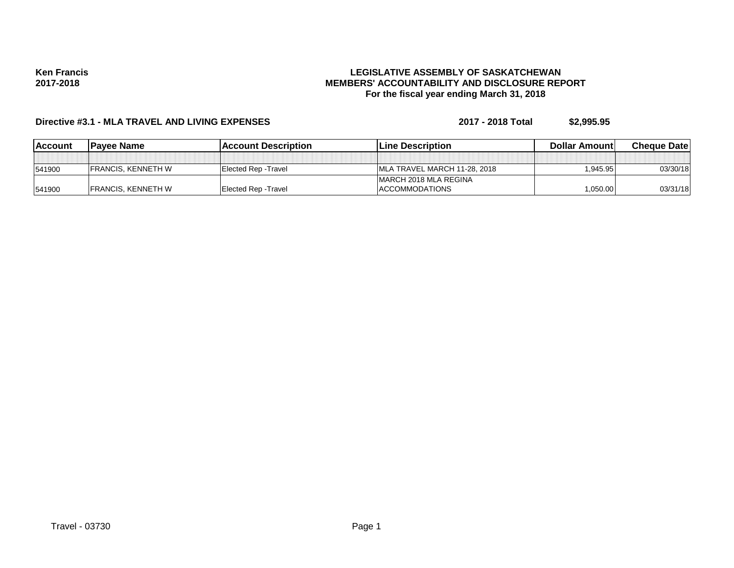**Ken Francis 2017-2018**

### **LEGISLATIVE ASSEMBLY OF SASKATCHEWAN MEMBERS' ACCOUNTABILITY AND DISCLOSURE REPORT For the fiscal year ending March 31, 2018**

# **Directive #3.1 - MLA TRAVEL AND LIVING EXPENSES 2017 - 2018 Total \$2,995.95**

| <b>IAccount</b> | Payee Name                | <b>IAccount Description</b> | <b>Line Description</b>       | <b>Dollar Amountl</b> | <b>Cheque Datel</b> |
|-----------------|---------------------------|-----------------------------|-------------------------------|-----------------------|---------------------|
|                 |                           |                             |                               |                       |                     |
| 541900          | <b>FRANCIS, KENNETH W</b> | Elected Rep - Travel        | IMLA TRAVEL MARCH 11-28, 2018 | .945.95               | 03/30/18            |
|                 |                           |                             | IMARCH 2018 MLA REGINA        |                       |                     |
| 541900          | <b>FRANCIS, KENNETH W</b> | Elected Rep - Travel        | <b>ACCOMMODATIONS</b>         | 1,050.00              | 03/31/18            |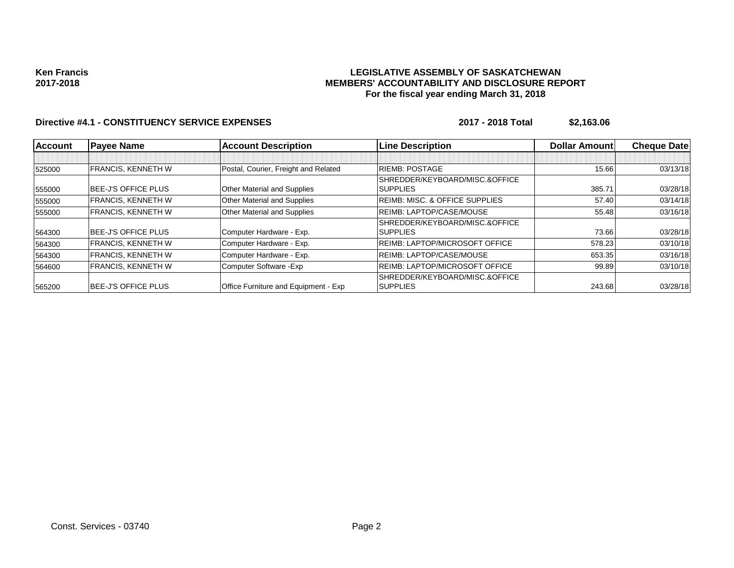#### **Ken Francis 2017-2018**

### **LEGISLATIVE ASSEMBLY OF SASKATCHEWAN MEMBERS' ACCOUNTABILITY AND DISCLOSURE REPORT For the fiscal year ending March 31, 2018**

## **Directive #4.1 - CONSTITUENCY SERVICE EXPENSES** 2017 - 2018 Total \$2,163.06

| <b>Account</b> | <b>Payee Name</b>          | <b>Account Description</b>                  | <b>Line Description</b>                   | <b>Dollar Amountl</b> | <b>Cheque Date</b> |
|----------------|----------------------------|---------------------------------------------|-------------------------------------------|-----------------------|--------------------|
|                |                            |                                             |                                           |                       |                    |
| 525000         | <b>FRANCIS, KENNETH W</b>  | Postal, Courier, Freight and Related        | <b>RIEMB: POSTAGE</b>                     | 15.66                 | 03/13/18           |
|                |                            |                                             | SHREDDER/KEYBOARD/MISC.&OFFICE            |                       |                    |
| 555000         | <b>BEE-J'S OFFICE PLUS</b> | <b>Other Material and Supplies</b>          | <b>SUPPLIES</b>                           | 385.71                | 03/28/18           |
| 555000         | <b>FRANCIS, KENNETH W</b>  | <b>Other Material and Supplies</b>          | <b>REIMB: MISC. &amp; OFFICE SUPPLIES</b> | 57.40                 | 03/14/18           |
| 555000         | <b>FRANCIS, KENNETH W</b>  | <b>Other Material and Supplies</b>          | <b>REIMB: LAPTOP/CASE/MOUSE</b>           | 55.48                 | 03/16/18           |
|                |                            |                                             | SHREDDER/KEYBOARD/MISC.&OFFICE            |                       |                    |
| 564300         | <b>BEE-J'S OFFICE PLUS</b> | Computer Hardware - Exp.                    | <b>SUPPLIES</b>                           | 73.66                 | 03/28/18           |
| 564300         | <b>FRANCIS, KENNETH W</b>  | Computer Hardware - Exp.                    | <b>REIMB: LAPTOP/MICROSOFT OFFICE</b>     | 578.23                | 03/10/18           |
| 564300         | <b>FRANCIS, KENNETH W</b>  | Computer Hardware - Exp.                    | <b>REIMB: LAPTOP/CASE/MOUSE</b>           | 653.35                | 03/16/18           |
| 564600         | <b>FRANCIS, KENNETH W</b>  | Computer Software - Exp                     | <b>REIMB: LAPTOP/MICROSOFT OFFICE</b>     | 99.89                 | 03/10/18           |
|                |                            |                                             | SHREDDER/KEYBOARD/MISC.&OFFICE            |                       |                    |
| 565200         | <b>BEE-J'S OFFICE PLUS</b> | <b>Office Furniture and Equipment - Exp</b> | <b>SUPPLIES</b>                           | 243.68                | 03/28/18           |